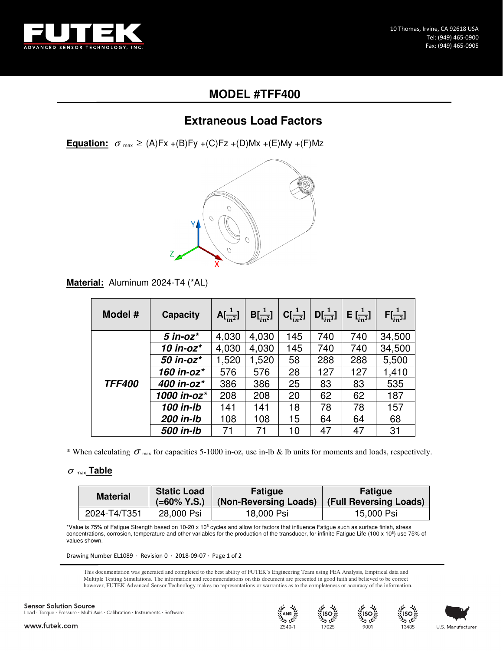

# **MODEL #TFF400**

## **Extraneous Load Factors**

**Equation:**  $\sigma_{\text{max}} \geq (A)Fx + (B)Fy + (C)Fz + (D)Mx + (E)My + (F)Mz$ 



**Material:** Aluminum 2024-T4 (\*AL)

| Model #       | <b>Capacity</b> | $A[\frac{1}{n^2}]$ | $B[\frac{1}{n^2}]$ | $C[\frac{1}{n^2}]$ | $D[\frac{1}{in^3}]$ | <b>E</b> $\left[\frac{1}{n^3}\right]$ | $F[\frac{1}{in^3}]$ |
|---------------|-----------------|--------------------|--------------------|--------------------|---------------------|---------------------------------------|---------------------|
| <b>TFF400</b> | $5$ in-oz $^*$  | 4,030              | 4,030              | 145                | 740                 | 740                                   | 34,500              |
|               | 10 in-oz $^*$   | 4,030              | 4,030              | 145                | 740                 | 740                                   | 34,500              |
|               | 50 in-oz*       | 1,520              | 1,520              | 58                 | 288                 | 288                                   | 5,500               |
|               | 160 in-oz*      | 576                | 576                | 28                 | 127                 | 127                                   | 1,410               |
|               | 400 in-oz*      | 386                | 386                | 25                 | 83                  | 83                                    | 535                 |
|               | 1000 in-oz*     | 208                | 208                | 20                 | 62                  | 62                                    | 187                 |
|               | 100 in-lb       | 141                | 141                | 18                 | 78                  | 78                                    | 157                 |
|               | 200 in-lb       | 108                | 108                | 15                 | 64                  | 64                                    | 68                  |
|               | 500 in-lb       | 71                 | 71                 | 10                 | 47                  | 47                                    | 31                  |

\* When calculating  $\sigma$  <sub>max</sub> for capacities 5-1000 in-oz, use in-lb & lb units for moments and loads, respectively.

### <sup>σ</sup> max **Table**

| <b>Material</b> | <b>Static Load</b> | <b>Fatigue</b>        | <b>Fatique</b>         |  |
|-----------------|--------------------|-----------------------|------------------------|--|
|                 | $( = 60\%$ Y.S.)   | (Non-Reversing Loads) | (Full Reversing Loads) |  |
| 2024-T4/T351    | 28,000 Psi         | 18,000 Psi            | 15,000 Psi             |  |

\*Value is 75% of Fatigue Strength based on 10-20 x 10<sup>6</sup> cycles and allow for factors that influence Fatigue such as surface finish, stress concentrations, corrosion, temperature and other variables for the production of the transducer, for infinite Fatigue Life (100 x 10<sup>6</sup>) use 75% of values shown.

Drawing Number EL1089 · Revision 0 · 2018-09-07 · Page 1 of 2

This documentation was generated and completed to the best ability of FUTEK's Engineering Team using FEA Analysis, Empirical data and Multiple Testing Simulations. The information and recommendations on this document are presented in good faith and believed to be correct however, FUTEK Advanced Sensor Technology makes no representations or warranties as to the completeness or accuracy of the information.

#### **Sensor Solution Source** Load · Torque · Pressure · Multi Axis · Calibration · Instruments · Software